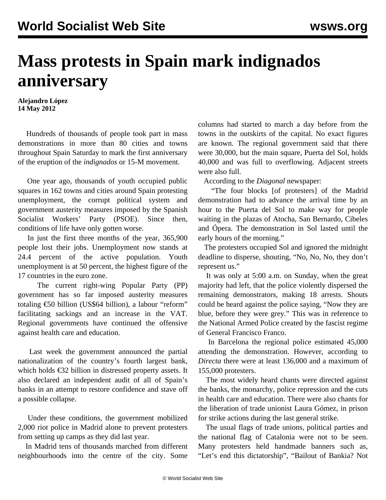## **Mass protests in Spain mark indignados anniversary**

**Alejandro López 14 May 2012**

 Hundreds of thousands of people took part in mass demonstrations in more than 80 cities and towns throughout Spain Saturday to mark the first anniversary of the eruption of the *indignados* or 15-M movement.

 One year ago, thousands of youth occupied public squares in 162 towns and cities around Spain protesting unemployment, the corrupt political system and government austerity measures imposed by the Spanish Socialist Workers' Party (PSOE). Since then, conditions of life have only gotten worse.

 In just the first three months of the year, 365,900 people lost their jobs. Unemployment now stands at 24.4 percent of the active population. Youth unemployment is at 50 percent, the highest figure of the 17 countries in the euro zone.

 The current right-wing Popular Party (PP) government has so far imposed austerity measures totaling €50 billion (US\$64 billion), a labour "reform" facilitating sackings and an increase in the VAT. Regional governments have continued the offensive against health care and education.

 Last week the government announced the partial nationalization of the country's fourth largest bank, which holds €32 billion in distressed property assets. It also declared an independent audit of all of Spain's banks in an attempt to restore confidence and stave off a possible collapse.

 Under these conditions, the government mobilized 2,000 riot police in Madrid alone to prevent protesters from setting up camps as they did last year.

 In Madrid tens of thousands marched from different neighbourhoods into the centre of the city. Some columns had started to march a day before from the towns in the outskirts of the capital. No exact figures are known. The regional government said that there were 30,000, but the main square, Puerta del Sol, holds 40,000 and was full to overflowing. Adjacent streets were also full.

According to the *Diagonal* newspaper:

 "The four blocks [of protesters] of the Madrid demonstration had to advance the arrival time by an hour to the Puerta del Sol to make way for people waiting in the plazas of Atocha, San Bernardo, Cibeles and Ópera. The demonstration in Sol lasted until the early hours of the morning."

 The protesters occupied Sol and ignored the midnight deadline to disperse, shouting, "No, No, No, they don't represent us."

 It was only at 5:00 a.m. on Sunday, when the great majority had left, that the police violently dispersed the remaining demonstrators, making 18 arrests. Shouts could be heard against the police saying, "Now they are blue, before they were grey." This was in reference to the National Armed Police created by the fascist regime of General Francisco Franco.

 In Barcelona the regional police estimated 45,000 attending the demonstration. However, according to *Directa* there were at least 136,000 and a maximum of 155,000 protesters.

 The most widely heard chants were directed against the banks, the monarchy, police repression and the cuts in health care and education. There were also chants for the liberation of trade unionist Laura Gómez, in prison for strike actions during the last general strike.

 The usual flags of trade unions, political parties and the national flag of Catalonia were not to be seen. Many protesters held handmade banners such as, "Let's end this dictatorship", "Bailout of Bankia? Not